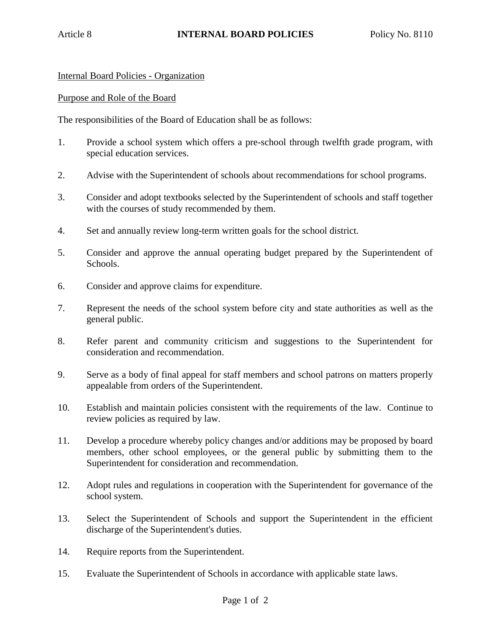Internal Board Policies - Organization

## Purpose and Role of the Board

The responsibilities of the Board of Education shall be as follows:

- 1. Provide a school system which offers a pre-school through twelfth grade program, with special education services.
- 2. Advise with the Superintendent of schools about recommendations for school programs.
- 3. Consider and adopt textbooks selected by the Superintendent of schools and staff together with the courses of study recommended by them.
- 4. Set and annually review long-term written goals for the school district.
- 5. Consider and approve the annual operating budget prepared by the Superintendent of Schools.
- 6. Consider and approve claims for expenditure.
- 7. Represent the needs of the school system before city and state authorities as well as the general public.
- 8. Refer parent and community criticism and suggestions to the Superintendent for consideration and recommendation.
- 9. Serve as a body of final appeal for staff members and school patrons on matters properly appealable from orders of the Superintendent.
- 10. Establish and maintain policies consistent with the requirements of the law. Continue to review policies as required by law.
- 11. Develop a procedure whereby policy changes and/or additions may be proposed by board members, other school employees, or the general public by submitting them to the Superintendent for consideration and recommendation.
- 12. Adopt rules and regulations in cooperation with the Superintendent for governance of the school system.
- 13. Select the Superintendent of Schools and support the Superintendent in the efficient discharge of the Superintendent's duties.
- 14. Require reports from the Superintendent.
- 15. Evaluate the Superintendent of Schools in accordance with applicable state laws.